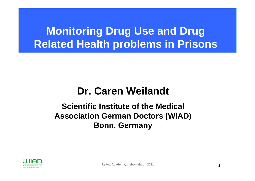# **Monitoring Drug Use and Drug Related Health problems in Prisons**

#### **Dr. Caren Weilandt**

#### **Scientific Institute of the Medical Association German Doctors (WIAD) Bonn, Germany**

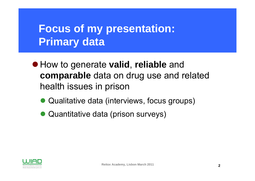# **Focus of my presentation: Primary data**

- z How to generate **valid**, **reliable** and **comparable** data on drug use and related health issues in prison
	- $\bullet$ Qualitative data (interviews, focus groups)
	- $\bullet$ Quantitative data (prison surveys)

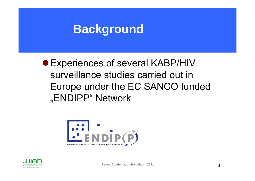# **Background**

• Experiences of several KABP/HIV surveillance studies carried out in Europe under the EC SANCO funded "ENDIPP" Network



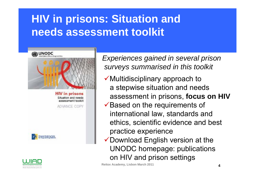# **HIV in prisons: Situation and needs assessment toolkit**



**HIV** in prisons Situation and needs sssessment tookit

ADVANCE COPY



Arzte Deutschlands gem. e.V

*Experiences gained in several prison surveys summarised in this toolkit*

- $\checkmark$  Multidisciplinary approach to a stepwise situation and needs assessment in prisons, **focus on HIV**
- $\checkmark$  Based on the requirements of international law, standards and ethics, scientific evidence and best practice experience
- $\checkmark$  Download English version at the UNODC homepage: publications on HIV and prison settings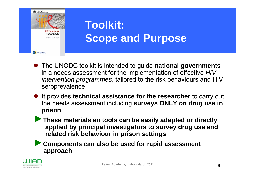

# **Toolkit: Scope and Purpose**

- **•** The UNODC toolkit is intended to guide national governments in a needs assessment for the implementation of effective *HIV intervention programmes*, tailored to the risk behaviours and HIV seroprevalence
- **•** It provides **technical assistance for the researcher** to carry out the needs assessment including **surveys ONLY on drug use in prison**.
- ►**These materials an tools can be easily adapted or directly applied by principal investigators to survey drug use and related risk behaviour in prison settings**

►**Components can also be used for rapid assessment approach**

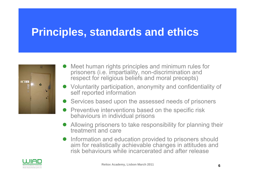## **Principles, standards and ethics**



- Meet human rights principles and minimum rules for prisoners (i.e. impartiality, non-discrimination and respect for religious beliefs and moral precepts)
- Voluntarity participation, anonymity and confidentiality of self reported information
- Services based upon the assessed needs of prisoners
- Preventive interventions based on the specific risk behaviours in individual prisons
- $\bullet$  Allowing prisoners to take responsibility for planning their treatment and care
- Information and education provided to prisoners should aim for realistically achievable changes in attitudes and risk behaviours while incarcerated and after release

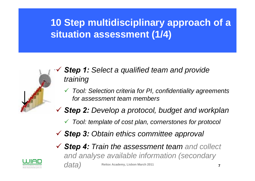**10 Step multidisciplinary approach of a situation assessment (1/4)**



- 9 *Step 1: Select a qualified team and provide training*
	- 9 *Tool: Selection criteria for PI, confidentiality agreements for assessment team members*
- 9 *Step 2: Develop a protocol, budget and workplan*
	- $\checkmark$ *Tool: template of cost plan, cornerstones for protocol*
- 9 *Step 3: Obtain ethics committee approval*
- 9 *Step 4: Train the assessment team and collect and analyse available information (secondary data)*

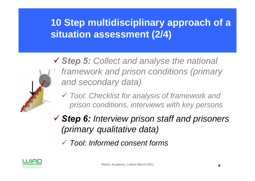### **10 Step multidisciplinary approach of a situation assessment (2/4)**



- <sup>9</sup>*Step 5: Collect and analyse the national framework and prison conditions (primary and secondary data)*
	- 9 *Tool: Checklist for analysis of framework and prison conditions, interviews with key persons*
- <sup>9</sup>*Step 6: Interview prison staff and prisoners (primary qualitative data)*
	- 9 *Tool: Informed consent forms*

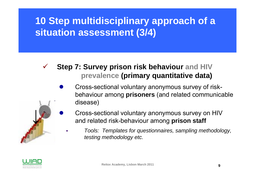### **10 Step multidisciplinary approach of a situation assessment (3/4)**

#### **Step 7: Survey prison risk behaviour and HIV prevalence (primary quantitative data)**

- $\bullet$  Cross-sectional voluntary anonymous survey of riskbehaviour among **prisoners** (and related communicable disease)
	- Cross-sectional voluntary anonymous survey on HIV and related risk-behaviour among **prison staff**
		- *Tools: Templates for questionnaires, sampling methodology, testing methodology etc.*



*↓*

 $\checkmark$ 

 $\bullet$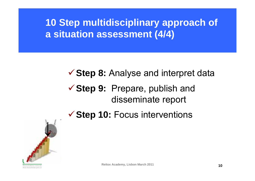**10 Step multidisciplinary approach of a situation assessment (4/4)**

#### **√ Step 8:** Analyse and interpret data

#### ◆ Step 9: Prepare, publish and disseminate report

**√ Step 10: Focus interventions** 

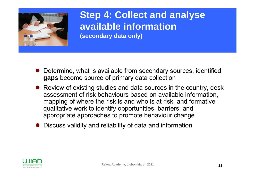

**Step 4: Collect and analyse available information(secondary data only)**

- Determine, what is available from secondary sources, identified **gaps** become source of primary data collection
- $\bullet$  Review of existing studies and data sources in the country, desk assessment of risk behaviours based on available information, mapping of where the risk is and who is at risk, and formative qualitative work to identify opportunities, barriers, and appropriate approaches to promote behaviour change
- $\bullet$ Discuss validity and reliability of data and information

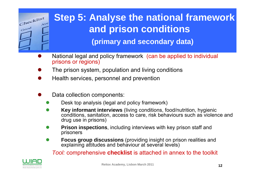

# **Step 5: Analyse the national framework and prison conditions**

**(primary and secondary data)**

- $\bullet$  National legal and policy framework (can be applied to individual prisons or regions)
- $\bullet$ The prison system, population and living conditions
- $\bullet$ Health services, personnel and prevention
- $\bullet$  Data collection components:
	- $\bullet$ Desk top analysis (legal and policy framework)
	- $\bullet$  **Key informant interviews** (living conditions, food/nutrition, hygienic conditions, sanitation, access to care, risk behaviours such as violence and drug use in prisons)
	- $\bullet$  **Prison inspections**, including interviews with key prison staff and prisoners
	- $\bullet$  **Focus group discussions** (providing insight on prison realities and explaining attitudes and behaviour at several levels)

*Tool:* comprehensive **checklist** is attached in annex to the toolkit

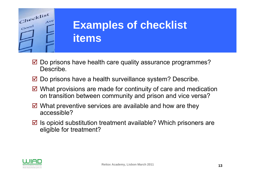

# **Examples of checklist items**

- $\boxtimes$  Do prisons have health care quality assurance programmes? Describe.
- $\boxtimes$  Do prisons have a health surveillance system? Describe.
- $\boxtimes$  What provisions are made for continuity of care and medication on transition between community and prison and vice versa?
- $\boxtimes$  What preventive services are available and how are they accessible?
- $\boxtimes$  Is opioid substitution treatment available? Which prisoners are eligible for treatment?

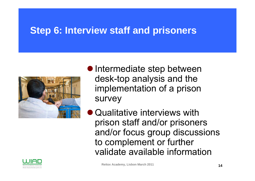#### **Step 6: Interview staff and prisoners**





• Intermediate step between desk-top analysis and the implementation of a prison survey

 $\bullet$  Qualitative interviews with prison staff and/or prisoners and/or focus group discussions to complement or further validate available information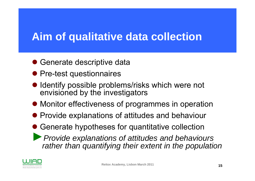### **Aim of qualitative data collection**

- Generate descriptive data
- Pre-test questionnaires
- $\bullet$  Identify possible problems/risks which were not envisioned by the investigators
- $\bullet$  Monitor effectiveness of programmes in operation
- Provide explanations of attitudes and behaviour
- Generate hypotheses for quantitative collection
- ►*Provide explanations of attitudes and behaviours rather than quantifying their extent in the population*

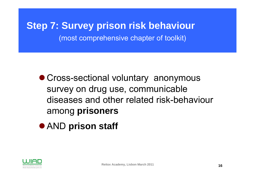**Step 7: Survey prison risk behaviour** (most comprehensive chapter of toolkit)

- Cross-sectional voluntary anonymous survey on drug use, communicable diseases and other related risk-behaviour among **prisoners**
- **AND prison staff**

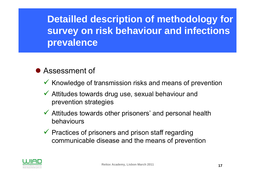**Detailled description of methodology for survey on risk behaviour and infections prevalence**

#### **• Assessment of**

- $\checkmark$  Knowledge of transmission risks and means of prevention
- $\checkmark$  Attitudes towards drug use, sexual behaviour and prevention strategies
- $\checkmark$  Attitudes towards other prisoners' and personal health behaviours
- $\checkmark$  Practices of prisoners and prison staff regarding communicable disease and the means of prevention

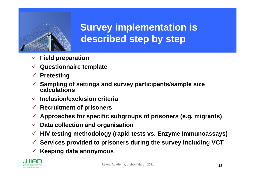

## **Survey implementation is described step by step**

- $\sqrt{ }$ **Field preparation**
- 9 **Questionnaire template**
- 9 **Pretesting**
- 9 **Sampling of settings and survey participants/sample size calculations**
- 9 **Inclusion/exclusion criteria**
- 9 **Recruitment of prisoners**
- 9 **Approaches for specific subgroups of prisoners (e.g. migrants)**
- $\checkmark$ **Data collection and organisation**
- 9 **HIV testing methodology (rapid tests vs. Enzyme Immunoassays)**
- 9 **Services provided to prisoners during the survey including VCT**
- 9 **Keeping data anonymous**

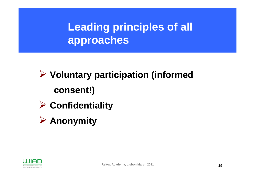# **Leading principles of all approaches**

# ¾ **Voluntary participation (informed consent!)**

- ¾ **Confidentiality**
- ¾ **Anonymity**

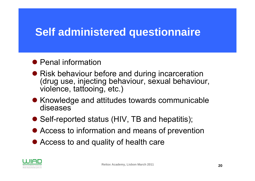## **Self administered questionnaire**

#### • Penal information

- Risk behaviour before and during incarceration (drug use, injecting behaviour, sexual behaviour, violence, tattooing, etc.)
- Knowledge and attitudes towards communicable diseases
- Self-reported status (HIV, TB and hepatitis);
- Access to information and means of prevention
- Access to and quality of health care

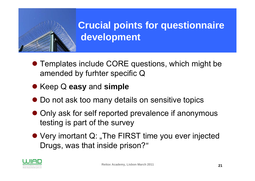

## **Crucial points for questionnaire development**

- Templates include CORE questions, which might be amended by furhter specific Q
- **Keep Q easy and simple**
- $\bullet$  Do not ask too many details on sensitive topics
- Only ask for self reported prevalence if anonymous testing is part of the survey
- Very imortant Q: "The FIRST time you ever injected Drugs, was that inside prison?*"*

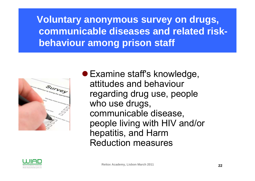**Voluntary anonymous survey on drugs, communicable diseases and related riskbehaviour among prison staff**



• Examine staff's knowledge, attitudes and behaviour regarding drug use, people who use drugs, communicable disease, people living with HIV and/or hepatitis, and Harm Reduction measures

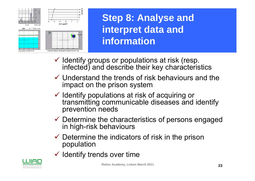

**Step 8: Analyse and interpret data and information**

- $\checkmark$  Identify groups or populations at risk (resp. infected) and describe their key characteristics
- $\checkmark$  Understand the trends of risk behaviours and the impact on the prison system
- $\checkmark$  Identify populations at risk of acquiring or transmitting communicable diseases and identify prevention needs
- $\checkmark$  Determine the characteristics of persons engaged in high-risk behaviours
- $\checkmark$  Determine the indicators of risk in the prison population
- $\checkmark$  Identify trends over time

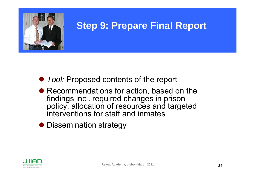

#### **Step 9: Prepare Final Report**

- **Tool: Proposed contents of the report**
- Recommendations for action, based on the findings incl. required changes in prison policy, allocation of resources and targeted interventions for staff and inmates
- Dissemination strategy

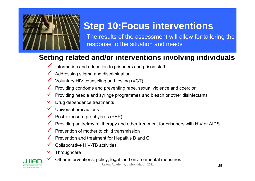

## **Step 10:Focus interventions**

The results of the assessment will allow for tailoring the response to the situation and needs

#### **Setting related and/or interventions involving individuals**

- $\checkmark$  Information and education to prisoners and prison staff
- $\checkmark$  Addressing stigma and discrimination
- $\checkmark$  Voluntary HIV counseling and testing (VCT)
- $\checkmark$  Providing condoms and preventing rape, sexual violence and coercion
- $\checkmark$ Providing needle and syringe programmes and bleach or other disinfectants
- $\checkmark$ Drug dependence treatments
- $\checkmark$ Universal precautions
- $\checkmark$ Post-exposure prophylaxis (PEP)
- $\checkmark$ Providing antiretroviral therapy and other treatment for prisoners with HIV or AIDS
- $\checkmark$  Prevention of mother to child transmission
- $\checkmark$  Prevention and treatment for Hepatitis B and C
- $\checkmark$ Collaborative HIV-TB activities
- $\checkmark$ **Throughcare**
- $\checkmark$ Other interventions: policy, legal and environmental measures

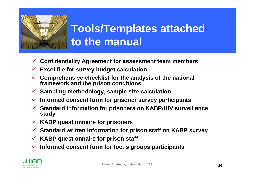

# **Tools/Templates attached to the manual**

- $\sqrt{ }$ **Confidentiality Agreement for assessment team members**
- $\sqrt{2}$ **Excel file for survey budget calculation**
- 9 **Comprehensive checklist for the analysis of the national framework and the prison conditions**
- 9 **Sampling methodology, sample size calculation**
- $\checkmark$ **Informed consent form for prisoner survey participants**
- 9 **Standard information for prisoners on KABP/HIV surveillance study**
- $\sqrt{2}$ **KABP questionnaire for prisoners**
- 9 **Standard written information for prison staff on KABP survey**
- $\sqrt{2}$ **KABP questionnaire for prison staff**
- 9 **Informed consent form for focus groups participants**

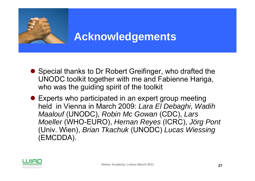

## **Acknowledgements**

- Special thanks to Dr Robert Greifinger, who drafted the UNODC toolkit together with me and Fabienne Hariga, who was the guiding spirit of the toolkit
- Experts who participated in an expert group meeting held in Vienna in March 2009: *Lara El Debaghi*, *Wadih Maalouf* (UNODC), *Robin Mc Gowan* (CDC), *Lars Moeller* (WHO-EURO), *Hernan Reyes* (ICRC), *Jörg Pont* (Univ. Wien), *Brian Tkachuk* (UNODC) *Lucas Wiessing* (EMCDDA).

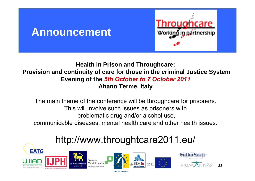#### **Announcement**



#### **Health in Prison and Throughcare: Provision and continuity of care for those in the criminal Justice System Evening of the** *5th October to 7 October 2011* **Abano Terme, Italy**

The main theme of the conference will be throughcare for prisoners. This will involve such issues as prisoners with problematic drug and/or alcohol use, communicable diseases, mental health care and other health issues.

### http://www.throughtcare2011.eu/



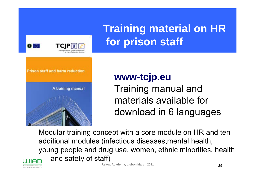

# **Training material on HR for prison staff**

## **www-tcjp.eu** Training manual and materials available for download in 6 languages

Modular training concept with a core module on HR and ten additional modules (infectious diseases,mental health, young people and drug use, women, ethnic minorities, health and safety of staff)

Ärzte Deutschlands gem. e.V

**Reitox Academy, Lisbon March <sup>2011</sup> 29**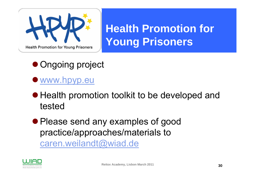

# **Health Promotion for Young Prisoners**

- Ongoing project
- **[www.hpyp.eu](http://www.hpyp.eu/)**
- $\bullet$  Health promotion toolkit to be developed and tested
- Please send any examples of good practice/approaches/materials to [caren.weilandt@wiad.de](mailto:caren.weilandt@wiad.de)